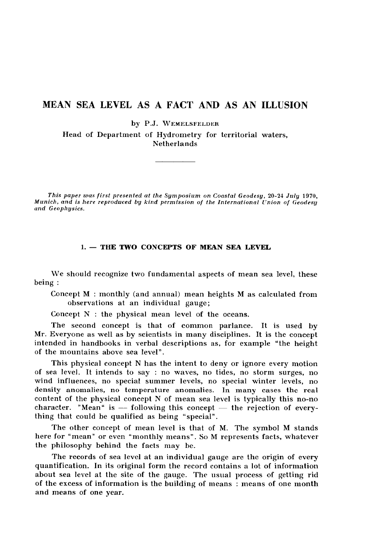# **MEAN SEA LEVEL AS A FACT AND AS AN ILLUSION**

by P.J. WEMELSFELDER

Head of Department of Hydrometry for territorial waters, Netherlands

*This paper was first presented at the Symposium on Coastal Geodesy,* 20-24 *July* 1970, *Munich, and is here reproduced by kind permission of the International Union of Geodesy and Geophysics.*

## 1. — THE TWO CONCEPTS OF MEAN SEA LEVEL

We should recognize two fundamental aspects of mean sea level, these being :

Concept M : monthly (and annual) mean heights M as calculated from observations at an individual gauge;

Concept N : the physical mean level of the oceans.

The second concept is that of common parlance. It is used by Mr. Everyone as well as by scientists in many disciplines. It is the concept intended in handbooks in verbal descriptions as, for example "the height of the mountains above sea level" .

This physical concept N has the intent to deny or ignore every motion of sea level. It intends to say : no waves, no tides, no storm surges, no wind influences, no special summer levels, no special winter levels, no density anomalies, no temperature anomalies. In many cases the real content of the physical concept N of mean sea level is typically this no-no character. "Mean" is  $-$  following this concept  $-$  the rejection of everything that could be qualified as being "special".

The other concept of mean level is that of M. The symbol M stands here for " mean" or even "monthly means". So M represents facts, whatever the philosophy behind the facts may be.

The records of sea level at an individual gauge are the origin of every quantification. In its original form the record contains a lot of information about sea level at the site of the gauge. The usual process of getting rid of the excess of information is the building of means : means of one month and means of one year.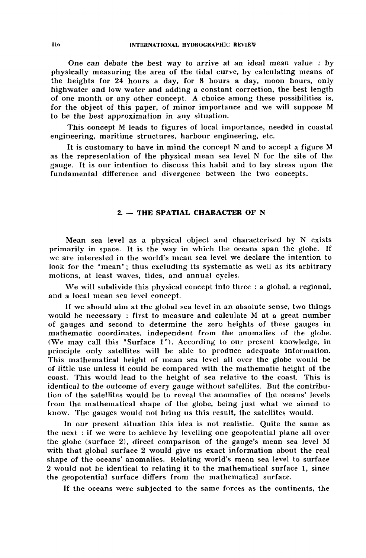One can debate the best way to arrive at an ideal mean value : by physically measuring the area of the tidal curve, by calculating means of the heights for 24 hours a day, for 8 hours a day, moon hours, only highwater and low water and adding a constant correction, the best length of one month or any other concept. A choice among these possibilities is, for the object of this paper, of minor importance and we will suppose M to be the best approximation in any situation.

This concept M leads to figures of local importance, needed in coastal engineering, maritime structures, harbour engineering, etc.

It is customary to have in mind the concept N and to accept a figure M as the representation of the physical mean sea level N for the site of the gauge. It is our intention to discuss this habit and to lay stress upon the fundamental difference and divergence between the two concepts.

#### 2. — THE SPATIAL CHARACTER OF N

Mean sea level as a physical object and characterised by N exists primarily in space. It is the way in which the oceans span the globe. If we are interested in the world's mean sea level we declare the intention to look for the "mean"; thus excluding its systematic as well as its arbitrary motions, at least waves, tides, and annual cycles.

We will subdivide this physical concept into three : a global, a regional, and a local mean sea level concept.

If we should aim at the global sea level in an absolute sense, two things would be necessary : first to measure and calculate M at a great number of gauges and second to determine the zero heights of these gauges in mathematic coordinates, independent from the anomalies of the globe. (We may call this "Surface 1"). According to our present knowledge, in principle only satellites will be able to produce adequate information. This mathematical height of mean sea level all over the globe would be of little use unless it could be compared with the mathematic height of the coast. This would lead to the height of sea relative to the coast. This is identical to the outcome of every gauge without satellites. But the contribution of the satellites would be to reveal the anomalies of the oceans' levels from the mathematical shape of the globe, being just what we aimed to know. The gauges would not bring us this result, the satellites would.

In our present situation this idea is not realistic. Quite the same as the next : if we were to achieve by levelling one geopotential plane all over the globe (surface 2), direct comparison of the gauge's mean sea level M with that global surface 2 would give us exact information about the real shape of the oceans' anomalies. Relating world's mean sea level to surface 2 would not be identical to relating it to the mathematical surface 1, since the geopotential surface differs from the mathematical surface.

If the oceans were subjected to the same forces as the continents, the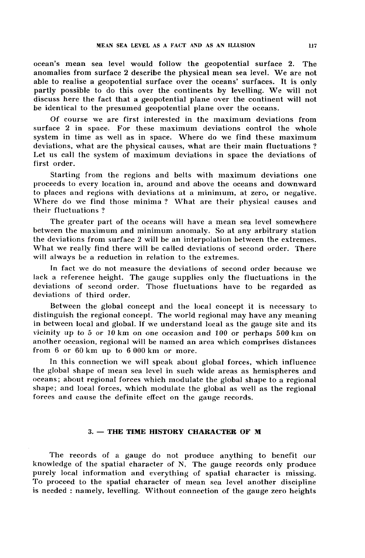ocean's mean sea level would follow the geopotential surface 2. The anomalies from surface 2 describe the physical mean sea level. We are not able to realise a geopotential surface over the oceans' surfaces. It is only partly possible to do this over the continents by levelling. We will not discuss here the fact that a geopotential plane over the continent will not be identical to the presumed geopotential plane over the oceans.

Of course we are first interested in the maximum deviations from surface 2 in space. For these maximum deviations control the whole system in time as well as in space. Where do we find these maximum deviations, what are the physical causes, what are their main fluctuations ? Let us call the system of maximum deviations in space the deviations of first order.

Starting from the regions and belts with maximum deviations one proceeds to every location in, around and above the oceans and downward to places and regions with deviations at a minimum, at zero, or negative. Where do we find those minima? What are their physical causes and their fluctuations ?

The greater part of the oceans will have a mean sea level somewhere between the maximum and minimum anomaly. So at any arbitrary station the deviations from surface 2 will be an interpolation between the extremes. What we really find there will be called deviations of second order. There will always be a reduction in relation to the extremes.

In fact we do not measure the deviations of second order because we lack a reference height. The gauge supplies only the fluctuations in the deviations of second order. Those fluctuations have to be regarded as deviations of third order.

Between the global concept and the local concept it is necessary to distinguish the regional concept. The world regional may have any meaning in between local and global. If we understand local as the gauge site and its vicinity up to *5* or 10 km on one occasion and *100* or perhaps 500 km on another occasion, regional will be named an area which comprises distances from 6 or 60 km up to 6 000 km or more.

In this connection we will speak about global forces, which influence the global shape of mean sea level in such wide areas as hemispheres and oceans; about regional forces which modulate the global shape to a regional shape; and local forces, which modulate the global as well as the regional forces and cause the definite effect on the gauge records.

# 3. — THE TIME HISTORY CHARACTER OF M

The records of a gauge do not produce anything to benefit our knowledge of the spatial character of N, The gauge records only produce purely local information and everything of spatial character is missing. To proceed to the spatial character of mean sea level another discipline is needed : namely, levelling. Without connection of the gauge zero heights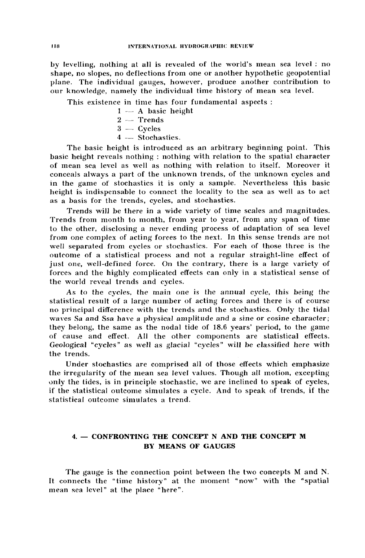by levelling, nothing at all is revealed of the world's mean sea level : no shape, no slopes, no deflections from one or another hypothetic geopotential plane. The individual gauges, however, produce another contribution to our knowledge, namely the individual time history of mean sea level.

This existence in time has four fundamental aspects :

- $1 A$  basic height
- $2 -$ Trends
- 3 Cycles
- 4 Stochastics.

The basic height is introduced as an arbitrary beginning point. This basic height reveals nothing : nothing with relation to the spatial character of mean sea level as well as nothing with relation to itself. Moreover it conceals always a part of the unknown trends, of the unknown cycles and in the game of stochastics it is only a sample. Nevertheless this basic height is indispensable to connect the locality to the sea as well as to act as a basis for the trends, cycles, and stochastics.

Trends will be there in a wide variety of time scales and magnitudes. Trends from month to month, from year to year, from any span of time to the other, disclosing a never ending process of adaptation of sea level from one complex of acting forces to the next. In this sense trends are not well separated from cycles or stochastics. For each of those three is the outcome of a statistical process and not a regular straight-line effect of just one, well-defined force. On the contrary, there is a large variety of forces and the highly complicated effects can only in a statistical sense of the world reveal trends and cycles.

As to the cycles, the main one is the annual cycle, this being the statistical result of a large number of acting forces and there is of course no principal difference with the trends and the stochastics. Only the tidal waves Sa and Ssa have a physical amplitude and a sine or cosine character; they belong, the same as the nodal tide of 18.6 years' period, to the game of cause and effect. All the other components are statistical effects. Geological "cycles" as well as glacial "cycles" will be classified here with the trends.

Under stochastics are comprised all of those effects which emphasize the irregularity of the mean sea level values. Though all motion, excepting only the tides, is in principle stochastic, we are inclined to speak of cycles, if the statistical outcome simulates a cycle. And to speak of trends, if the statistical outcome simulates a trend.

# 4. — CONFRONTING THE CONCEPT N AND THE CONCEPT M BY MEANS OF GAUGES

The gauge is the connection point between the two concepts M and N. It connects the "time history" at the moment "now" with the "spatial mean sea level" at the place "here".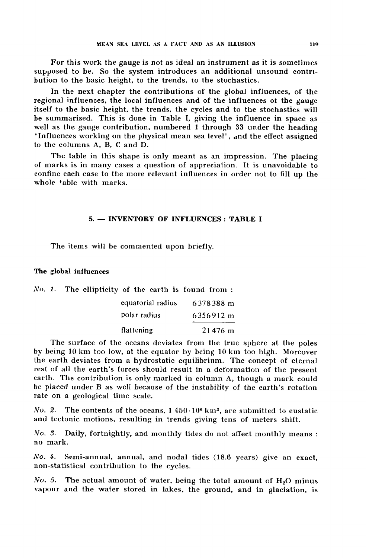For this work the gauge is not as ideal an instrument as it is sometimes supposed to be. So the system introduces an additional unsound contribution to the basic height, to the trends, to the stochastics.

In the next chapter the contributions of the global influences, of the regional influences, the local influences and of the influences of the gauge itself to the basic height, the trends, the cycles and to the stochastics will be summarised. This is done in Table I, giving the influence in space as well as the gauge contribution, numbered 1 through 33 under the heading "Influences working on the physical mean sea level", and the effect assigned to the columns A, B, C and D.

The table in this shape is only meant as an impression. The placing of marks is in many cases a question of appreciation. It is unavoidable to confine each case to the more relevant influences in order not to fill up the whole table with marks.

# 5. — INVENTORY OF INFLUENCES : TABLE I

The items will be commented upon briefly.

#### The global influences

 $\sim$ 

|  | No. 1. The ellipticity of the earth is found from: |           |
|--|----------------------------------------------------|-----------|
|  | equatorial radius                                  | 6378388 m |
|  | polar radius                                       | 6356912 m |
|  | flattening                                         | $21476$ m |

The surface of the oceans deviates from the true sphere at the poles by being 10 km too low, at the equator by being 10 km too high. Moreover the earth deviates from a hydrostatic equilibrium. The concept of eternal rest of all the earth's forces should result in a deformation of the present earth. The contribution is only marked in column A, though a mark could be placed under B as well because of the instability of the earth's rotation rate on a geological time scale.

No. 2. The contents of the oceans,  $1\,450\cdot10^6$  km<sup>3</sup>, are submitted to eustatic and tectonic motions, resulting in trends giving tens of meters shift.

*No. 3.* Daily, fortnightly, and monthly tides do not affect monthly means : no mark.

*No.* £. Semi-annual, annual, and nodal tides (18.6 years) give an exact, non-statistical contribution to the cycles.

*No. 5.* The actual amount of water, being the total amount of  $H<sub>2</sub>O$  minus vapour and the water stored in lakes, the ground, and in glaciation, is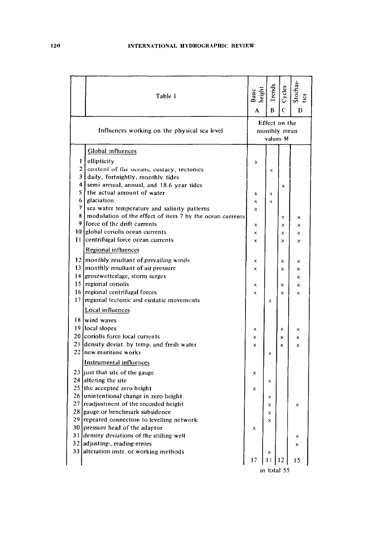|                                              | Table 1                                                  | Basic<br>height<br>A                      | Trends<br>B             | Cycles<br>$\epsilon$ | Stochas-<br>D           |
|----------------------------------------------|----------------------------------------------------------|-------------------------------------------|-------------------------|----------------------|-------------------------|
| Influences working on the physical sea level |                                                          | Effect on the<br>monthly mean<br>values M |                         |                      |                         |
|                                              | Global influences                                        |                                           |                         |                      |                         |
|                                              | 1 ellipticity                                            | X                                         |                         |                      |                         |
|                                              | 21<br>content of the oceans, eustacy, tectonics          |                                           | X                       |                      |                         |
|                                              | 3 daily, fortnightly, monthly tides                      |                                           |                         |                      |                         |
|                                              | 4 semi annual, annual, and 18.6 year tides               |                                           |                         | X                    |                         |
| 5                                            | the actual amount of water                               | ×                                         | x                       |                      |                         |
| 6                                            | glaciation                                               | x                                         | $\overline{\mathsf{x}}$ |                      |                         |
| 7                                            | sea water temperature and salinity patterns              | x                                         |                         |                      |                         |
| 8                                            | modulation of the effect of item 7 by the ocean currents |                                           |                         | x                    | ×                       |
|                                              | 9 force of the drift currents                            | x                                         |                         | X                    | ×                       |
| 10                                           | global coriolis ocean currents                           | ×                                         |                         | x                    | ×                       |
| 11                                           | centrifugal force ocean currents                         | $\mathsf{x}$                              |                         | $\mathbf{x}$         | $\times$                |
|                                              | Regional influences                                      |                                           |                         |                      |                         |
|                                              | 12 monthly resultant of prevailing winds                 | x                                         |                         | ×                    | ×                       |
|                                              | 13 monthly resultant of air pressure                     | X                                         |                         | x                    | ×                       |
|                                              | 14 groszwetterlage, storm surges                         |                                           |                         |                      | x                       |
|                                              | 15 regional coriolis                                     | ×                                         |                         | x                    | ×                       |
|                                              | 16 regional centrifugal forces                           | ×                                         |                         | $\mathsf{x}$         | $\times$                |
|                                              | 17 regional tectonic and eustatic movements              |                                           | x                       |                      |                         |
|                                              | Local influences                                         |                                           |                         |                      |                         |
|                                              | 18 wind waves                                            |                                           |                         |                      |                         |
|                                              | 19 local slopes                                          | ×                                         |                         | ×                    | x                       |
|                                              | 20 coriolis force local currents                         | ×                                         |                         | ×                    | ×                       |
|                                              | 21 density deviat. by temp, and fresh water              | ×                                         |                         | $\mathsf{x}$         | $\overline{\mathsf{x}}$ |
|                                              | 22 new maritime works                                    |                                           | X                       |                      |                         |
|                                              | Instrumental influences                                  |                                           |                         |                      |                         |
|                                              | 23 just that site of the gauge                           | ×                                         |                         |                      |                         |
|                                              | 24 altering the site                                     |                                           | x                       |                      |                         |
|                                              | 25 the accepted zero height                              | ×                                         |                         |                      |                         |
|                                              | 26 unintentional change in zero height                   |                                           | X                       |                      |                         |
|                                              | 27 readjustment of the recorded height                   |                                           | x                       |                      | x                       |
|                                              | 28 gauge or benchmark subsidence                         |                                           | X                       |                      |                         |
|                                              | 29 repeated connection to levelling network              |                                           | x                       |                      |                         |
|                                              | 30 pressure head of the adaptor                          | x                                         |                         |                      |                         |
|                                              | 31 density deviations of the stilling well               |                                           |                         |                      | ×                       |
|                                              | 32 adjusting, reading-errors                             |                                           |                         |                      | x                       |
|                                              | 33 alteration instr. or working methods                  |                                           | x                       |                      |                         |
|                                              |                                                          | 17                                        | 11                      | 12                   | 15                      |
|                                              | in total 55                                              |                                           |                         |                      |                         |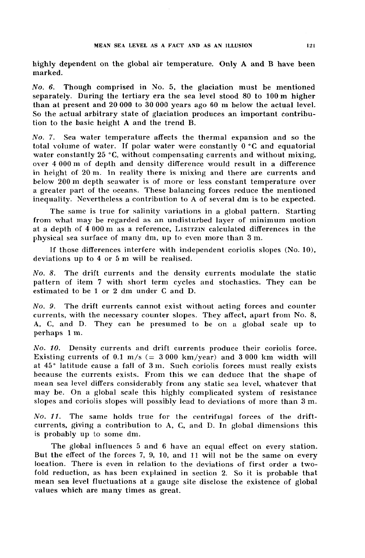highly dependent on the global air temperature. Only A and B have been marked.

*N o . 6.* Though comprised in No. 5, the glaciation must be mentioned separately. During the tertiary era the sea level stood 80 to 100 m higher than at present and 20 000 to 30 000 years ago 60 m below the actual level. So the actual arbitrary state of glaciation produces an important contribution to the basic height A and the trend B.

*N o . 7.* Sea water temperature affects the thermal expansion and so the total volume of water. If polar water were constantly 0 °C and equatorial water constantly 25 °C, without compensating currents and without mixing, over 4 000 m of depth and density difference would result in a difference in height of 20 m. In reality there is mixing and there are currents and below 200 m depth seawater is of more or less constant temperature over a greater part of the oceans. These balancing forces reduce the mentioned inequality. Nevertheless a contribution to A of several dm is to be expected.

The same is true for salinity variations in a global pattern. Starting from what may be regarded as an undisturbed layer of minimum motion at a depth of  $4000 \text{ m}$  as a reference, LISITZIN calculated differences in the physical sea surface of many dm, up to even more than 3 m.

If those differences interfere with independent coriolis slopes (No. 10), deviations up to 4 or 5 m will be realised.

*No . 8.* The drift currents and the density currents modulate the static pattern of item 7 with short term cycles and stochastics. They can be estimated to be 1 or 2 dm under C and D.

*No . 9.* The drift currents cannot exist without acting forces and counter currents, with the necessary counter slopes. They affect, apart from No. 8, A, C, and D. They can be presumed to be on a global scale up to perhaps 1 m.

*No. 10.* Density currents and drift currents produce their coriolis force. Existing currents of 0.1 m/s  $(= 3000 \text{ km/year})$  and 3000 km width will at 45° latitude cause a fall of 3 m. Such coriolis forces must really exists because the currents exists. From this we can deduce that the shape of mean sea level differs considerably from any static sea level, whatever that may be. On a global scale this highly complicated system of resistance slopes and coriolis slopes will possibly lead to deviations of more than 3 m.

*N o . 11.* The same holds true for the centrifugal forces of the driftcurrents, giving a contribution to A, G, and D. In global dimensions this is probably up to some dm.

The global influences 5 and 6 have an equal effect on every station. But the effect of the forces 7, 9, 10, and 11 will not be the same on every location. There is even in relation to the deviations of first order a twofold reduction, as has been explained in section 2. So it is probable that mean sea level fluctuations at a gauge site disclose the existence of global values which are many times as great.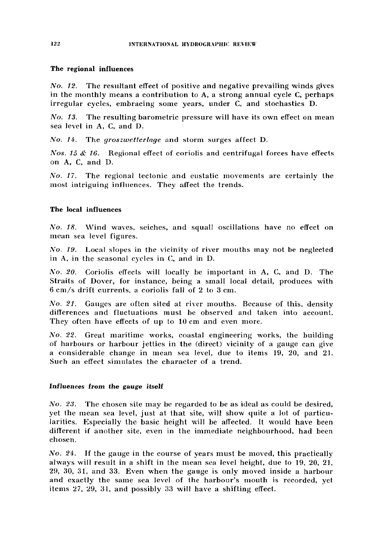#### The regional influences

*No. 12.* The resultant effect of positive and negative prevailing winds gives in the monthly means a contribution to A, a strong annual cycle C, perhaps irregular cycles, embracing some years, under C, and stochastics D.

*No. 13.* The resulting barometric pressure will have its own effect on mean sea level in A, C, and D.

*No.* /4. The *groszwetterlage* and storm surges affect D.

*Nos. 15 & 16.* Regional effect of coriolis and centrifugal forces have effects on A, C, and D.

*N o . 17.* The regional tectonic and eustatic movements are certainly the most intriguing influences. They affect the trends.

#### The local influences

*No. 18.* Wind waves, seiches, and squall oscillations have no effect on mean sea level figures.

*No. 19.* Local slopes in the vicinity of river mouths may not be neglected in A, in the seasonal cycles in C, and in D.

*N o . 20.* Coriolis effects will locally be important in A, C, and D. The Straits of Dover, for instance, being a small local detail, produces with 6 cm/s drift currents, a coriolis fall of 2 to 3 cm.

*N o . 21.* Gauges are often sited at river mouths. Because of this, density differences and fluctuations must be observed and taken into account. They often have effects of up to 10 cm and even more.

*N o . 22.* Great maritime works, coastal engineering works, the building of harbours or harbour jetties in the (direct) vicinity of a gauge can give a considerable change in mean sea level, due to items 19, 20, and 21. Such an effect simulates the character of a trend.

#### Influences *from the gauge* itself

*No. 23.* The chosen site may be regarded to be as ideal as could be desired, yet the mean sea level, just at that site, will show quite a lot of particularities. Especially the basic height will be affected. It would have been different if another site, even in the immediate neighbourhood, had been chosen.

*No. 24.* If the gauge in the course of years must be moved, this practically always will result in a shift in the mean sea level height, due to 19, 20, 21, 29, 30, 31, and 33. Even when the gauge is only moved inside a harbour and exactly the same sea level of the harbour's mouth is recorded, yet items 27, 29, 31, and possibly 33 will have a shifting effect.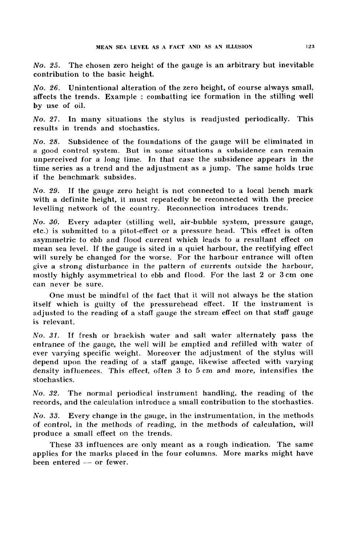*No. 25.* The chosen zero height of the gauge is an arbitrary but inevitable contribution to the basic height.

*No. 26.* Unintentional alteration of the zero height, of course always small, affects the trends. Example : combatting ice formation in the stilling well by use of oil.

*N o . 27.* In many situations the stylus is readjusted periodically. This results in trends and stochastics.

*N o . 28.* Subsidence of the foundations of the gauge will be eliminated in a good control system. But in some situations a subsidence can remain unperceived for a long time. In that case the subsidence appears in the time series as a trend and the adjustment as a jump. The same holds true if the benchmark subsides.

*No. 29.* If the gauge zero height is not connected to a local bench mark with a definite height, it must repeatedly be reconnected with the precice levelling network of the country. Reconnection introduces trends.

*N o . 30.* Every adapter (stilling well, air-bubble system, pressure gauge, etc.) is submitted to a pitot-effect or a pressure head. This effect is often asymmetric to ebb and flood current which leads to a resultant effect on mean sea level. If the gauge is sited in a quiet harbour, the rectifying effect will surely be changed for the worse. For the harbour entrance will often give a strong disturbance in the pattern of currents outside the harbour, mostly highly asymmetrical to ebb and flood. For the last 2 or 3 cm one can never be sure.

One must be mindful of the fact that it will not always be the station itself which is guilty of the pressurehead effect. If the instrument is adjusted to the reading of a staff gauge the stream effect on that staff gauge is relevant.

*N o . 31.* If fresh or brackish water and salt water alternately pass the entrance of the gauge, the well will be emptied and refilled with water of ever varying specific weight. Moreover the adjustment of the stylus will depend upon the reading of a staff gauge, likewise affected with varying density influences. This effect, often 3 to 5 cm and more, intensifies the stochastics.

*N o . 32.* The normal periodical instrument handling, the reading of the records, and the calculation introduce a small contribution to the stochastics.

*No . 33.* Every change in the gauge, in the instrumentation, in the methods of control, in the methods of reading, in the methods of calculation, will produce a small effect on the trends.

These 33 influences are only meant as a rough indication. The same applies for the marks placed in the four columns. More marks might have been entered — or fewer.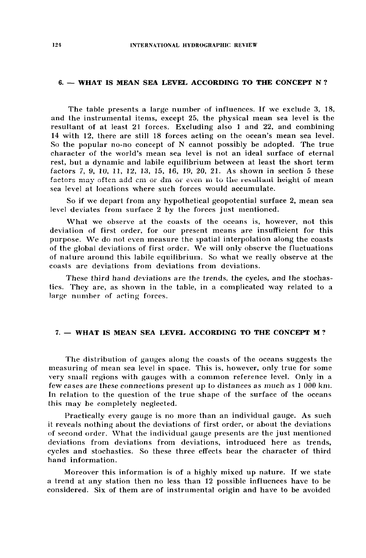## 6. — WHAT IS MEAN SEA LEVEL ACCORDING TO THE CONCEPT N ?

The table presents a large number of influences. If we exclude 3, 18, and the instrumental items, except 25, the physical mean sea level is the resultant of at least 21 forces. Excluding also 1 and 22, and combining 14 with 12, there are still 18 forces acting on the ocean's mean sea level. So the popular no-no concept of N cannot possibly be adopted. The true character of the world's mean sea level is not an ideal surface of eternal rest, but a dynamic and labile equilibrium between at least the short term factors 7, 9, 10, 11, 12, 13, 15, 16, 19, 20, 21. As shown in section 5 these factors may often add cm or dm or even in to the resultant height of mean sea level at locations where such forces would accumulate.

So if we depart from any hypothetical geopotential surface 2, mean sea level deviates from surface 2 by the forces just mentioned.

What we observe at the coasts of the oceans is, however, not this deviation of first order, for our present means are insufficient for this purpose. We do not even measure the spatial interpolation along the coasts of the global deviations of first order. We will only observe the fluctuations of nature around this labile equilibrium. So what we really observe at the coasts are deviations from deviations from deviations.

These third hand deviations are the trends, the cycles, and the stochastics. They are, as shown in the table, in a complicated way related to a large number of acting forces.

# 7. — WHAT IS MEAN SEA LEVEL ACCORDING TO THE CONCEPT M ?

The distribution of gauges along the coasts of the oceans suggests the measuring of mean sea level in space. This is, however, only true for some very small regions with gauges with a common reference level. Only in a few cases are these connections present up to distances as much as 1 000 km. In relation to the question of the true shape of the surface of the oceans this may be completely neglected.

Practically every gauge is no more than an individual gauge. As such it reveals nothing about the deviations of first order, or about the deviations of second order. What the individual gauge presents are the just mentioned deviations from deviations from deviations, introduced here as trends, cycles and stochastics. So these three effects bear the character of third hand information.

Moreover this information is of a highly mixed up nature. If we state a trend at any station then no less than 12 possible influences have to be considered. Six of them are of instrumental origin and have to be avoided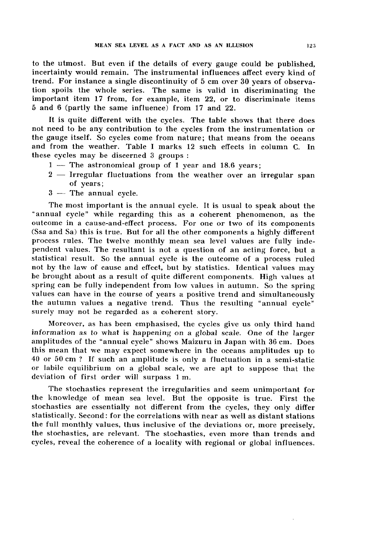to the utmost. But even if the details of every gauge could be published, incertainty would remain. The instrumental influences affect every kind of trend. For instance a single discontinuity of 5 cm over 30 years of observation spoils the whole series. The same is valid in discriminating the important item 17 from, for example, item 22, or to discriminate items 5 and 6 (partly the same influence) from 17 and 22.

It is quite different with the cycles. The table shows that there does not need to be any contribution to the cycles from the instrumentation or the gauge itself. So cycles come from nature; that means from the oceans and from the weather. Table I marks 12 such effects in column C. In these cycles may be discerned 3 groups :

- 1 The astronomical group of 1 year and 18.6 years;
- 2 Irregular fluctuations from the weather over an irregular span of years;
- 3 The annual cycle.

The most important is the annual cycle. It is usual to speak about the "annual cycle" while regarding this as a coherent phenomenon, as the outcome in a cause-and-effect process. For one or two of its components (Ssa and Sa) this is true. But for all the other components a highly different process rules. The twelve monthly mean sea level values are fully independent values. The resultant is not a question of an acting force, but a statistical result. So the annual cycle is the outcome of a process ruled not by the law of cause and effect, but by statistics. Identical values may be brought about as a result of quite different components. High values at spring can be fully independent from low values in autumn. So the spring values can have in the course of years a positive trend and simultaneously the autumn values a negative trend. Thus the resulting "annual cycle" surely may not be regarded as a coherent story.

Moreover, as has been emphasised, the cycles give us only third hand information as to what is happening on a global scale. One of the larger amplitudes of the "annual cycle" shows Maizuru in Japan with 36 cm. Does this mean that we may expect somewhere in the oceans amplitudes up to 40 or 50 cm ? If such an amplitude is only a fluctuation in a semi-static or labile equilibrium on a global scale, we are apt to suppose that the deviation of first order will surpass 1 m.

The stochastics represent the irregularities and seem unimportant for the knowledge of mean sea level. But the opposite is true. First the stochastics are essentially not different from the cycles, they only differ statistically. Second: for the correlations with near as well as distant stations the full monthly values, thus inclusive of the deviations or, more precisely, the stochastics, are relevant. The stochastics, even more than trends and cycles, reveal the coherence of a locality with regional or global influences.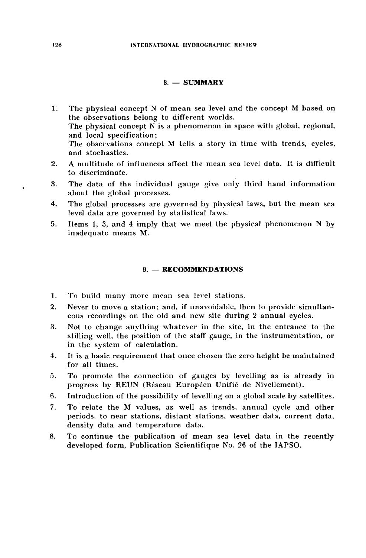## 8. — SUMMARY

- 1. The physical concept N of mean sea level and the concept M based on the observations belong to different worlds. The physical concept  $\widetilde{N}$  is a phenomenon in space with global, regional, and local specification; The observations concept M tells a story in time with trends, cycles, and stochastics.
- 2. A multitude of influences affect the mean sea level data. It is difficult to discriminate.
- 3. The data of the individual gauge give only third hand information about the global processes.
- 4. The global processes are governed by physical laws, but the mean sea level data are governed by statistical laws.
- 5. Items 1, 3, and 4 imply that we meet the physical phenomenon N by inadequate means M.

## 9. — RECOMMENDATIONS

- 1. To build many more mean sea level stations.
- 2. Never to move a station; and, if unavoidable, then to provide simultaneous recordings on the old and new site during 2 annual cycles.
- 3. Not to change anything whatever in the site, in the entrance to the stilling well, the position of the staff gauge, in the instrumentation, or in the system of calculation.
- 4. It is a basic requirement that once chosen the zero height be maintained for all times.
- 5. To promote the connection of gauges by levelling as is already in progress by REUN (Réseau Européen Unifié de Nivellement).
- 6. Introduction of the possibility of levelling on a global scale by satellites.
- 7. To relate the M values, as well as trends, annual cycle and other periods, to near stations, distant stations, weather data, current data, density data and temperature data.
- 8. To continue the publication of mean sea level data in the recently developed form, Publication Scientifique No. 26 of the IAPSO.